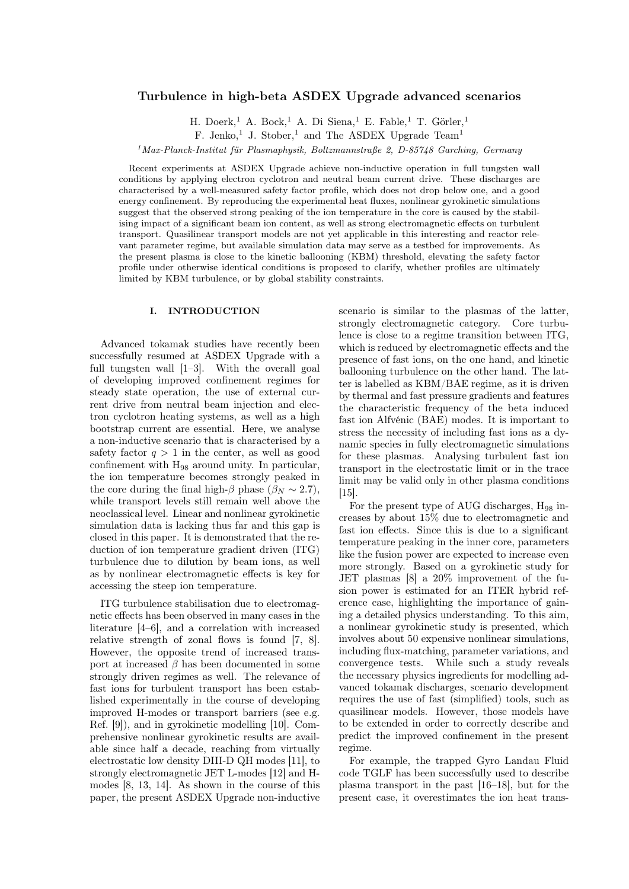# Turbulence in high-beta ASDEX Upgrade advanced scenarios

H. Doerk,<sup>1</sup> A. Bock,<sup>1</sup> A. Di Siena,<sup>1</sup> E. Fable,<sup>1</sup> T. Görler,<sup>1</sup>

F. Jenko,<sup>1</sup> J. Stober,<sup>1</sup> and The ASDEX Upgrade Team<sup>1</sup>

 $1$ Max-Planck-Institut für Plasmaphysik, Boltzmannstraße 2, D-85748 Garching, Germany

Recent experiments at ASDEX Upgrade achieve non-inductive operation in full tungsten wall conditions by applying electron cyclotron and neutral beam current drive. These discharges are characterised by a well-measured safety factor profile, which does not drop below one, and a good energy confinement. By reproducing the experimental heat fluxes, nonlinear gyrokinetic simulations suggest that the observed strong peaking of the ion temperature in the core is caused by the stabilising impact of a significant beam ion content, as well as strong electromagnetic effects on turbulent transport. Quasilinear transport models are not yet applicable in this interesting and reactor relevant parameter regime, but available simulation data may serve as a testbed for improvements. As the present plasma is close to the kinetic ballooning (KBM) threshold, elevating the safety factor profile under otherwise identical conditions is proposed to clarify, whether profiles are ultimately limited by KBM turbulence, or by global stability constraints.

#### I. INTRODUCTION

Advanced tokamak studies have recently been successfully resumed at ASDEX Upgrade with a full tungsten wall [1–3]. With the overall goal of developing improved confinement regimes for steady state operation, the use of external current drive from neutral beam injection and electron cyclotron heating systems, as well as a high bootstrap current are essential. Here, we analyse a non-inductive scenario that is characterised by a safety factor  $q > 1$  in the center, as well as good confinement with H<sup>98</sup> around unity. In particular, the ion temperature becomes strongly peaked in the core during the final high- $\beta$  phase ( $\beta_N \sim 2.7$ ), while transport levels still remain well above the neoclassical level. Linear and nonlinear gyrokinetic simulation data is lacking thus far and this gap is closed in this paper. It is demonstrated that the reduction of ion temperature gradient driven (ITG) turbulence due to dilution by beam ions, as well as by nonlinear electromagnetic effects is key for accessing the steep ion temperature.

ITG turbulence stabilisation due to electromagnetic effects has been observed in many cases in the literature [4–6], and a correlation with increased relative strength of zonal flows is found [7, 8]. However, the opposite trend of increased transport at increased  $\beta$  has been documented in some strongly driven regimes as well. The relevance of fast ions for turbulent transport has been established experimentally in the course of developing improved H-modes or transport barriers (see e.g. Ref. [9]), and in gyrokinetic modelling [10]. Comprehensive nonlinear gyrokinetic results are available since half a decade, reaching from virtually electrostatic low density DIII-D QH modes [11], to strongly electromagnetic JET L-modes [12] and Hmodes [8, 13, 14]. As shown in the course of this paper, the present ASDEX Upgrade non-inductive scenario is similar to the plasmas of the latter, strongly electromagnetic category. Core turbulence is close to a regime transition between ITG, which is reduced by electromagnetic effects and the presence of fast ions, on the one hand, and kinetic ballooning turbulence on the other hand. The latter is labelled as KBM/BAE regime, as it is driven by thermal and fast pressure gradients and features the characteristic frequency of the beta induced fast ion Alfvénic (BAE) modes. It is important to stress the necessity of including fast ions as a dynamic species in fully electromagnetic simulations for these plasmas. Analysing turbulent fast ion transport in the electrostatic limit or in the trace limit may be valid only in other plasma conditions [15].

For the present type of AUG discharges,  $H_{98}$  increases by about 15% due to electromagnetic and fast ion effects. Since this is due to a significant temperature peaking in the inner core, parameters like the fusion power are expected to increase even more strongly. Based on a gyrokinetic study for JET plasmas [8] a 20% improvement of the fusion power is estimated for an ITER hybrid reference case, highlighting the importance of gaining a detailed physics understanding. To this aim, a nonlinear gyrokinetic study is presented, which involves about 50 expensive nonlinear simulations, including flux-matching, parameter variations, and convergence tests. While such a study reveals the necessary physics ingredients for modelling advanced tokamak discharges, scenario development requires the use of fast (simplified) tools, such as quasilinear models. However, those models have to be extended in order to correctly describe and predict the improved confinement in the present regime.

For example, the trapped Gyro Landau Fluid code TGLF has been successfully used to describe plasma transport in the past [16–18], but for the present case, it overestimates the ion heat trans-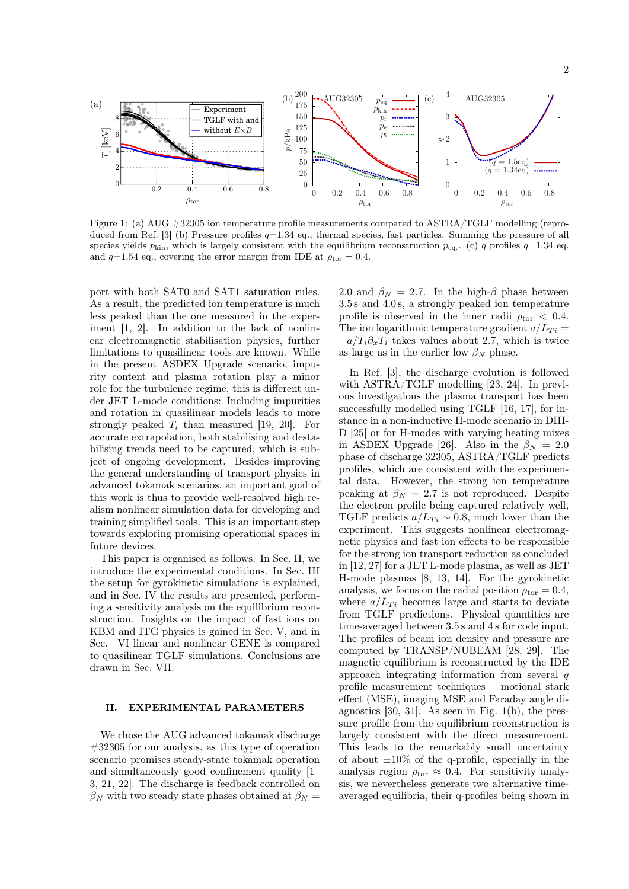

Figure 1: (a) AUG #32305 ion temperature profile measurements compared to ASTRA/TGLF modelling (reproduced from Ref. [3] (b) Pressure profiles  $q=1.34$  eq., thermal species, fast particles. Summing the pressure of all species yields  $p_{\text{kin}}$ , which is largely consistent with the equilibrium reconstruction  $p_{\text{eq}}$ . (c) q profiles  $q=1.34$  eq. and  $q=1.54$  eq., covering the error margin from IDE at  $\rho_{\text{tor}}=0.4$ .

port with both SAT0 and SAT1 saturation rules. As a result, the predicted ion temperature is much less peaked than the one measured in the experiment  $[1, 2]$ . In addition to the lack of nonlinear electromagnetic stabilisation physics, further limitations to quasilinear tools are known. While in the present ASDEX Upgrade scenario, impurity content and plasma rotation play a minor role for the turbulence regime, this is different under JET L-mode conditions: Including impurities and rotation in quasilinear models leads to more strongly peaked  $T_i$  than measured [19, 20]. For accurate extrapolation, both stabilising and destabilising trends need to be captured, which is subject of ongoing development. Besides improving the general understanding of transport physics in advanced tokamak scenarios, an important goal of this work is thus to provide well-resolved high realism nonlinear simulation data for developing and training simplified tools. This is an important step towards exploring promising operational spaces in future devices.

This paper is organised as follows. In Sec. II, we introduce the experimental conditions. In Sec. III the setup for gyrokinetic simulations is explained, and in Sec. IV the results are presented, performing a sensitivity analysis on the equilibrium reconstruction. Insights on the impact of fast ions on KBM and ITG physics is gained in Sec. V, and in Sec. VI linear and nonlinear GENE is compared to quasilinear TGLF simulations. Conclusions are drawn in Sec. VII.

#### II. EXPERIMENTAL PARAMETERS

We chose the AUG advanced tokamak discharge  $\#32305$  for our analysis, as this type of operation scenario promises steady-state tokamak operation and simultaneously good confinement quality [1– 3, 21, 22]. The discharge is feedback controlled on  $\beta_N$  with two steady state phases obtained at  $\beta_N =$ 

2.0 and  $\beta_N = 2.7$ . In the high- $\beta$  phase between 3.5 s and 4.0 s, a strongly peaked ion temperature profile is observed in the inner radii  $\rho_{\text{tor}} < 0.4$ . The ion logarithmic temperature gradient  $a/L_{Ti}$  =  $-a/T_i\partial_xT_i$  takes values about 2.7, which is twice as large as in the earlier low  $\beta_N$  phase.

In Ref. [3], the discharge evolution is followed with ASTRA/TGLF modelling [23, 24]. In previous investigations the plasma transport has been successfully modelled using TGLF [16, 17], for instance in a non-inductive H-mode scenario in DIII-D [25] or for H-modes with varying heating mixes in ASDEX Upgrade [26]. Also in the  $\beta_N = 2.0$ phase of discharge 32305, ASTRA/TGLF predicts profiles, which are consistent with the experimental data. However, the strong ion temperature peaking at  $\beta_N = 2.7$  is not reproduced. Despite the electron profile being captured relatively well, TGLF predicts  $a/L_{Ti} \sim 0.8$ , much lower than the experiment. This suggests nonlinear electromagnetic physics and fast ion effects to be responsible for the strong ion transport reduction as concluded in [12, 27] for a JET L-mode plasma, as well as JET H-mode plasmas [8, 13, 14]. For the gyrokinetic analysis, we focus on the radial position  $\rho_{\text{tor}} = 0.4$ , where  $a/L_{Ti}$  becomes large and starts to deviate from TGLF predictions. Physical quantities are time-averaged between 3.5 s and 4 s for code input. The profiles of beam ion density and pressure are computed by TRANSP/NUBEAM [28, 29]. The magnetic equilibrium is reconstructed by the IDE approach integrating information from several q profile measurement techniques —motional stark effect (MSE), imaging MSE and Faraday angle diagnostics  $[30, 31]$ . As seen in Fig.  $1(b)$ , the pressure profile from the equilibrium reconstruction is largely consistent with the direct measurement. This leads to the remarkably small uncertainty of about  $\pm 10\%$  of the q-profile, especially in the analysis region  $\rho_{\text{tor}} \approx 0.4$ . For sensitivity analysis, we nevertheless generate two alternative timeaveraged equilibria, their q-profiles being shown in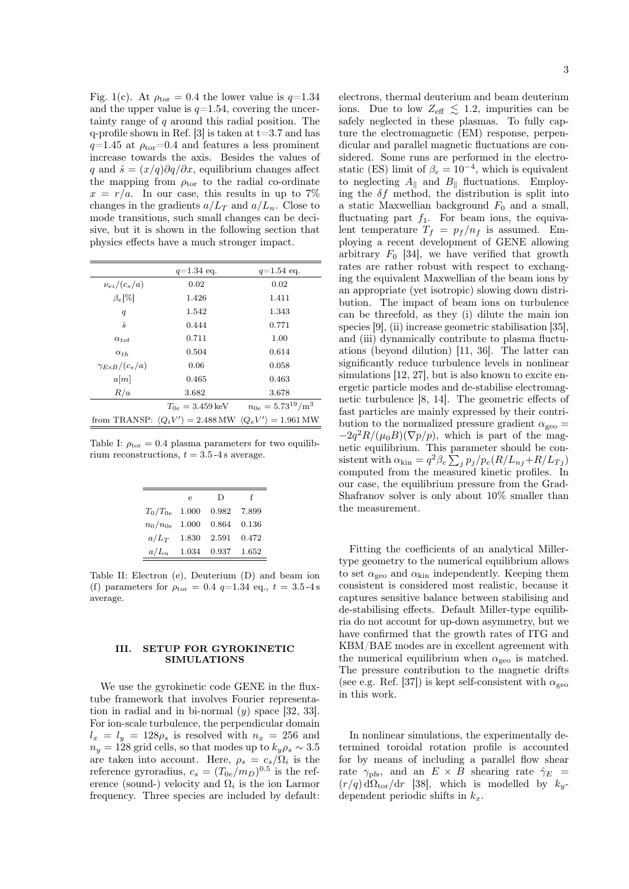Fig. 1(c). At  $\rho_{\text{tor}} = 0.4$  the lower value is  $q=1.34$ and the upper value is  $q=1.54$ , covering the uncertainty range of  $q$  around this radial position. The q-profile shown in Ref. [3] is taken at  $t=3.7$  and has  $q=1.45$  at  $\rho_{\rm tor}=0.4$  and features a less prominent increase towards the axis. Besides the values of q and  $\hat{s} = (x/q)\partial q/\partial x$ , equilibrium changes affect the mapping from  $\rho_{\text{tor}}$  to the radial co-ordinate  $x = r/a$ . In our case, this results in up to 7% changes in the gradients  $a/L_T$  and  $a/L_n$ . Close to mode transitions, such small changes can be decisive, but it is shown in the following section that physics effects have a much stronger impact.

|                              | $q=1.34$ eq.                                                                                         | $q=1.54$ eq.             |
|------------------------------|------------------------------------------------------------------------------------------------------|--------------------------|
| $\nu_{ei}/(c_s/a)$           | 0.02                                                                                                 | 0.02                     |
| $\beta_e$ [%]                | 1.426                                                                                                | 1.411                    |
| q                            | 1.542                                                                                                | 1.343                    |
| $\hat{s}$                    | 0.444                                                                                                | 0.771                    |
| $\alpha_{tot}$               | 0.711                                                                                                | 1.00                     |
| $\alpha_{th}$                | 0.504                                                                                                | 0.614                    |
| $\gamma_{E\times B}/(c_s/a)$ | 0.06                                                                                                 | 0.058                    |
| a[m]                         | 0.465                                                                                                | 0.463                    |
| R/a                          | 3.682                                                                                                | 3.678                    |
|                              | $T_{0e} = 3.459 \,\text{keV}$                                                                        | $n_{0e} = 5.73^{19}/m^3$ |
|                              | from TRANSP: $\langle Q_i V' \rangle = 2.488 \text{ MW}$ $\langle Q_e V' \rangle = 1.961 \text{ MW}$ |                          |

Table I:  $\rho_{\text{tor}} = 0.4$  plasma parameters for two equilibrium reconstructions,  $t = 3.5 - 4$  s average.

|                    | e                   | D     | f     |
|--------------------|---------------------|-------|-------|
| $T_0/T_{0e}$ 1.000 |                     | 0.982 | 7.899 |
| $n_0/n_{0e}$       | 1.000               | 0.864 | 0.136 |
| $a/L_T$ 1.830      |                     | 2.591 | 0.472 |
|                    | $a/L_n$ 1.034 0.937 |       | 1.652 |

Table II: Electron (e), Deuterium (D) and beam ion (f) parameters for  $\rho_{\text{tor}} = 0.4$  q=1.34 eq., t = 3.5-4 s average.

#### III. SETUP FOR GYROKINETIC SIMULATIONS

We use the gyrokinetic code GENE in the fluxtube framework that involves Fourier representation in radial and in bi-normal  $(y)$  space [32, 33]. For ion-scale turbulence, the perpendicular domain  $l_x = l_y = 128\rho_s$  is resolved with  $n_x = 256$  and  $n_y = 128$  grid cells, so that modes up to  $k_y \rho_s \sim 3.5$ are taken into account. Here,  $\rho_s = c_s/\Omega_i$  is the reference gyroradius,  $c_s = (T_{0e}/m_D)^{0.5}$  is the reference (sound-) velocity and  $\Omega_i$  is the ion Larmor frequency. Three species are included by default:

electrons, thermal deuterium and beam deuterium

3

ions. Due to low  $Z_{\text{eff}} \lesssim 1.2$ , impurities can be safely neglected in these plasmas. To fully capture the electromagnetic (EM) response, perpendicular and parallel magnetic fluctuations are considered. Some runs are performed in the electrostatic (ES) limit of  $\beta_e = 10^{-4}$ , which is equivalent to neglecting  $A_{\parallel}$  and  $B_{\parallel}$  fluctuations. Employing the  $\delta f$  method, the distribution is split into a static Maxwellian background  $F_0$  and a small, fluctuating part  $f_1$ . For beam ions, the equivalent temperature  $T_f = p_f/n_f$  is assumed. Employing a recent development of GENE allowing arbitrary  $F_0$  [34], we have verified that growth rates are rather robust with respect to exchanging the equivalent Maxwellian of the beam ions by an appropriate (yet isotropic) slowing down distribution. The impact of beam ions on turbulence can be threefold, as they (i) dilute the main ion species [9], (ii) increase geometric stabilisation [35], and (iii) dynamically contribute to plasma fluctuations (beyond dilution) [11, 36]. The latter can significantly reduce turbulence levels in nonlinear simulations [12, 27], but is also known to excite energetic particle modes and de-stabilise electromagnetic turbulence [8, 14]. The geometric effects of fast particles are mainly expressed by their contribution to the normalized pressure gradient  $\alpha_{\text{geo}} =$  $-2q^2R/(\mu_0B)(\nabla p/p)$ , which is part of the magnetic equilibrium. This parameter should be consistent with  $\alpha_{\rm kin} = q^2 \beta_e \sum_j p_j / p_e (R/L_{nj} + R/L_{Tj})$ computed from the measured kinetic profiles. In our case, the equilibrium pressure from the Grad-Shafranov solver is only about 10% smaller than the measurement.

Fitting the coefficients of an analytical Millertype geometry to the numerical equilibrium allows to set  $\alpha_{\text{geo}}$  and  $\alpha_{\text{kin}}$  independently. Keeping them consistent is considered most realistic, because it captures sensitive balance between stabilising and de-stabilising effects. Default Miller-type equilibria do not account for up-down asymmetry, but we have confirmed that the growth rates of ITG and KBM/BAE modes are in excellent agreement with the numerical equilibrium when  $\alpha_{\text{geo}}$  is matched. The pressure contribution to the magnetic drifts (see e.g. Ref. [37]) is kept self-consistent with  $\alpha_{\rm geo}$ in this work.

In nonlinear simulations, the experimentally determined toroidal rotation profile is accounted for by means of including a parallel flow shear rate  $\gamma_{\text{pfs}}$ , and an  $E \times B$  shearing rate  $\hat{\gamma}_E$  =  $(r/q) d\Omega_{\text{tor}}/dr$  [38], which is modelled by  $k_y$ dependent periodic shifts in  $k_x$ .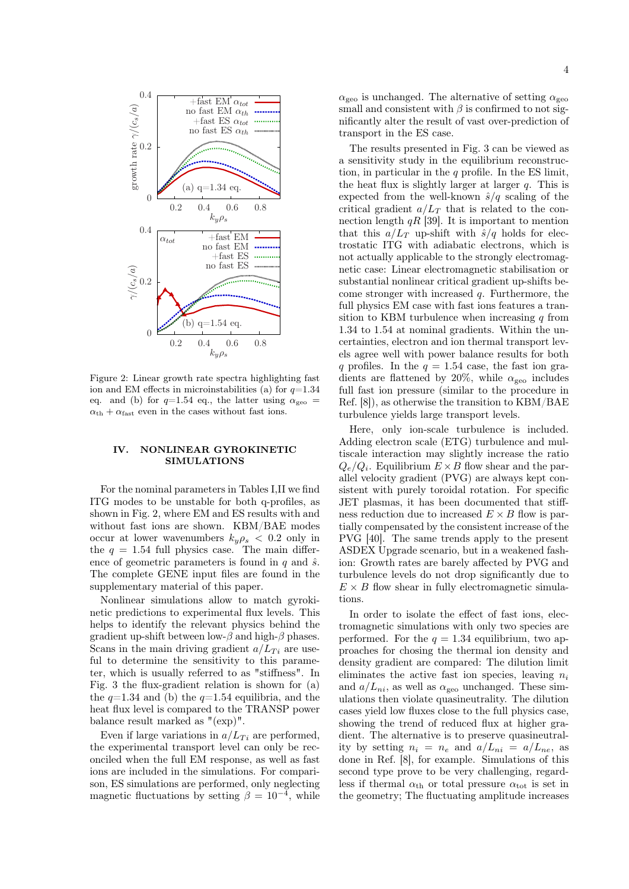

Figure 2: Linear growth rate spectra highlighting fast ion and EM effects in microinstabilities (a) for  $q=1.34$ eq. and (b) for  $q=1.54$  eq., the latter using  $\alpha_{\text{geo}} =$  $\alpha_{\text{th}} + \alpha_{\text{fast}}$  even in the cases without fast ions.

#### IV. NONLINEAR GYROKINETIC SIMULATIONS

For the nominal parameters in Tables I,II we find ITG modes to be unstable for both q-profiles, as shown in Fig. 2, where EM and ES results with and without fast ions are shown. KBM/BAE modes occur at lower wavenumbers  $k_y \rho_s < 0.2$  only in the  $q = 1.54$  full physics case. The main difference of geometric parameters is found in  $q$  and  $\hat{s}$ . The complete GENE input files are found in the supplementary material of this paper.

Nonlinear simulations allow to match gyrokinetic predictions to experimental flux levels. This helps to identify the relevant physics behind the gradient up-shift between low- $\beta$  and high- $\beta$  phases. Scans in the main driving gradient  $a/L_{Ti}$  are useful to determine the sensitivity to this parameter, which is usually referred to as "stiffness". In Fig. 3 the flux-gradient relation is shown for (a) the  $q=1.34$  and (b) the  $q=1.54$  equilibria, and the heat flux level is compared to the TRANSP power balance result marked as "(exp)".

Even if large variations in  $a/L_{Ti}$  are performed, the experimental transport level can only be reconciled when the full EM response, as well as fast ions are included in the simulations. For comparison, ES simulations are performed, only neglecting magnetic fluctuations by setting  $\beta = 10^{-4}$ , while

 $\alpha_{\text{geo}}$  is unchanged. The alternative of setting  $\alpha_{\text{geo}}$ small and consistent with  $\beta$  is confirmed to not significantly alter the result of vast over-prediction of transport in the ES case.

The results presented in Fig. 3 can be viewed as a sensitivity study in the equilibrium reconstruction, in particular in the  $q$  profile. In the ES limit, the heat flux is slightly larger at larger  $q$ . This is expected from the well-known  $\hat{s}/q$  scaling of the critical gradient  $a/L_T$  that is related to the connection length  $qR$  [39]. It is important to mention that this  $a/L_T$  up-shift with  $\hat{s}/q$  holds for electrostatic ITG with adiabatic electrons, which is not actually applicable to the strongly electromagnetic case: Linear electromagnetic stabilisation or substantial nonlinear critical gradient up-shifts become stronger with increased q. Furthermore, the full physics EM case with fast ions features a transition to KBM turbulence when increasing  $q$  from 1.34 to 1.54 at nominal gradients. Within the uncertainties, electron and ion thermal transport levels agree well with power balance results for both q profiles. In the  $q = 1.54$  case, the fast ion gradients are flattened by 20%, while  $\alpha_{\text{geo}}$  includes full fast ion pressure (similar to the procedure in Ref. [8]), as otherwise the transition to KBM/BAE turbulence yields large transport levels.

Here, only ion-scale turbulence is included. Adding electron scale (ETG) turbulence and multiscale interaction may slightly increase the ratio  $Q_e/Q_i$ . Equilibrium  $E \times B$  flow shear and the parallel velocity gradient (PVG) are always kept consistent with purely toroidal rotation. For specific JET plasmas, it has been documented that stiffness reduction due to increased  $E \times B$  flow is partially compensated by the consistent increase of the PVG [40]. The same trends apply to the present ASDEX Upgrade scenario, but in a weakened fashion: Growth rates are barely affected by PVG and turbulence levels do not drop significantly due to  $E \times B$  flow shear in fully electromagnetic simulations.

In order to isolate the effect of fast ions, electromagnetic simulations with only two species are performed. For the  $q = 1.34$  equilibrium, two approaches for chosing the thermal ion density and density gradient are compared: The dilution limit eliminates the active fast ion species, leaving  $n_i$ and  $a/L_{ni}$ , as well as  $\alpha_{\text{geo}}$  unchanged. These simulations then violate quasineutrality. The dilution cases yield low fluxes close to the full physics case, showing the trend of reduced flux at higher gradient. The alternative is to preserve quasineutrality by setting  $n_i = n_e$  and  $a/L_{ni} = a/L_{ne}$ , as done in Ref. [8], for example. Simulations of this second type prove to be very challenging, regardless if thermal  $\alpha_{\text{th}}$  or total pressure  $\alpha_{\text{tot}}$  is set in the geometry; The fluctuating amplitude increases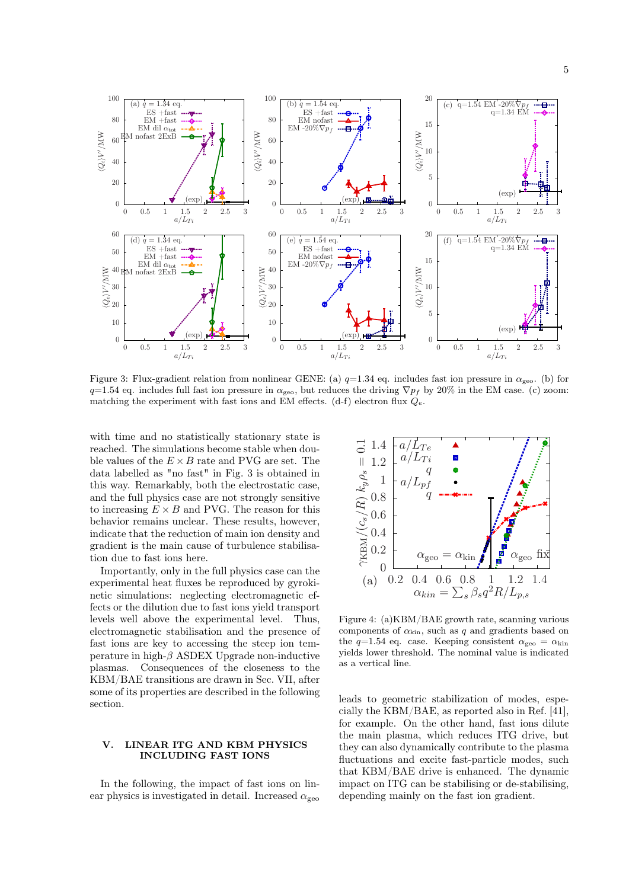

Figure 3: Flux-gradient relation from nonlinear GENE: (a)  $q=1.34$  eq. includes fast ion pressure in  $\alpha_{\text{geo}}$ . (b) for  $q=1.54$  eq. includes full fast ion pressure in  $\alpha_{\text{geo}}$ , but reduces the driving  $\nabla p_f$  by 20% in the EM case. (c) zoom: matching the experiment with fast ions and EM effects. (d-f) electron flux  $Q_e$ .

with time and no statistically stationary state is reached. The simulations become stable when double values of the  $E \times B$  rate and PVG are set. The data labelled as "no fast" in Fig. 3 is obtained in this way. Remarkably, both the electrostatic case, and the full physics case are not strongly sensitive to increasing  $E \times B$  and PVG. The reason for this behavior remains unclear. These results, however, indicate that the reduction of main ion density and gradient is the main cause of turbulence stabilisation due to fast ions here.

Importantly, only in the full physics case can the experimental heat fluxes be reproduced by gyrokinetic simulations: neglecting electromagnetic effects or the dilution due to fast ions yield transport levels well above the experimental level. Thus, electromagnetic stabilisation and the presence of fast ions are key to accessing the steep ion temperature in high- $\beta$  ASDEX Upgrade non-inductive plasmas. Consequences of the closeness to the KBM/BAE transitions are drawn in Sec. VII, after some of its properties are described in the following section.

## V. LINEAR ITG AND KBM PHYSICS INCLUDING FAST IONS

In the following, the impact of fast ions on linear physics is investigated in detail. Increased  $\alpha_{\rm{geo}}$ 



Figure 4: (a)KBM/BAE growth rate, scanning various components of  $\alpha_{\text{kin}}$ , such as q and gradients based on the  $q=1.54$  eq. case. Keeping consistent  $\alpha_{\text{geo}} = \alpha_{\text{kin}}$ yields lower threshold. The nominal value is indicated as a vertical line.

leads to geometric stabilization of modes, especially the KBM/BAE, as reported also in Ref. [41], for example. On the other hand, fast ions dilute the main plasma, which reduces ITG drive, but they can also dynamically contribute to the plasma fluctuations and excite fast-particle modes, such that KBM/BAE drive is enhanced. The dynamic impact on ITG can be stabilising or de-stabilising, depending mainly on the fast ion gradient.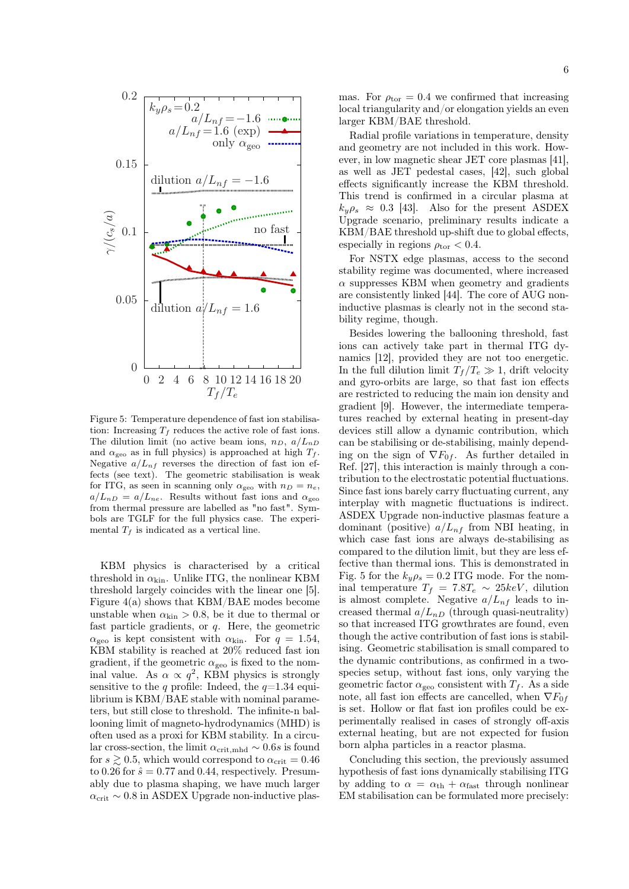

Figure 5: Temperature dependence of fast ion stabilisation: Increasing  $T_f$  reduces the active role of fast ions. The dilution limit (no active beam ions,  $n_D$ ,  $a/L_{nD}$ and  $\alpha_{\text{geo}}$  as in full physics) is approached at high  $T_f$ . Negative  $a/L_{nf}$  reverses the direction of fast ion effects (see text). The geometric stabilisation is weak for ITG, as seen in scanning only  $\alpha_{\text{geo}}$  with  $n_D = n_e$ ,  $a/L_{nD} = a/L_{ne}$ . Results without fast ions and  $\alpha_{\text{geo}}$ from thermal pressure are labelled as "no fast". Symbols are TGLF for the full physics case. The experimental  $T_f$  is indicated as a vertical line.

KBM physics is characterised by a critical threshold in  $\alpha_{\text{kin}}$ . Unlike ITG, the nonlinear KBM threshold largely coincides with the linear one [5]. Figure 4(a) shows that KBM/BAE modes become unstable when  $\alpha_{\rm kin} > 0.8$ , be it due to thermal or fast particle gradients, or q. Here, the geometric  $\alpha_{\text{geo}}$  is kept consistent with  $\alpha_{\text{kin}}$ . For  $q = 1.54$ , KBM stability is reached at 20% reduced fast ion gradient, if the geometric  $\alpha_{\text{geo}}$  is fixed to the nominal value. As  $\alpha \propto q^2$ , KBM physics is strongly sensitive to the q profile: Indeed, the  $q=1.34$  equilibrium is KBM/BAE stable with nominal parameters, but still close to threshold. The infinite-n ballooning limit of magneto-hydrodynamics (MHD) is often used as a proxi for KBM stability. In a circular cross-section, the limit  $\alpha_{\rm crit, mhd} \sim 0.6s$  is found for  $s \geq 0.5$ , which would correspond to  $\alpha_{\rm crit} = 0.46$ to 0.26 for  $\hat{s} = 0.77$  and 0.44, respectively. Presumably due to plasma shaping, we have much larger  $\alpha_{\rm crit} \sim 0.8$  in ASDEX Upgrade non-inductive plas-

Radial profile variations in temperature, density and geometry are not included in this work. However, in low magnetic shear JET core plasmas [41], as well as JET pedestal cases, [42], such global effects significantly increase the KBM threshold. This trend is confirmed in a circular plasma at  $k_{y}\rho_{s} \approx 0.3$  [43]. Also for the present ASDEX Upgrade scenario, preliminary results indicate a KBM/BAE threshold up-shift due to global effects, especially in regions  $\rho_{\rm tor} < 0.4$ .

For NSTX edge plasmas, access to the second stability regime was documented, where increased  $\alpha$  suppresses KBM when geometry and gradients are consistently linked [44]. The core of AUG noninductive plasmas is clearly not in the second stability regime, though.

Besides lowering the ballooning threshold, fast ions can actively take part in thermal ITG dynamics [12], provided they are not too energetic. In the full dilution limit  $T_f/T_e \gg 1$ , drift velocity and gyro-orbits are large, so that fast ion effects are restricted to reducing the main ion density and gradient [9]. However, the intermediate temperatures reached by external heating in present-day devices still allow a dynamic contribution, which can be stabilising or de-stabilising, mainly depending on the sign of  $\nabla F_{0f}$ . As further detailed in Ref. [27], this interaction is mainly through a contribution to the electrostatic potential fluctuations. Since fast ions barely carry fluctuating current, any interplay with magnetic fluctuations is indirect. ASDEX Upgrade non-inductive plasmas feature a dominant (positive)  $a/L_{nf}$  from NBI heating, in which case fast ions are always de-stabilising as compared to the dilution limit, but they are less effective than thermal ions. This is demonstrated in Fig. 5 for the  $k_y \rho_s = 0.2$  ITG mode. For the nominal temperature  $T_f = 7.8T_e \sim 25keV$ , dilution is almost complete. Negative  $a/L_{nf}$  leads to increased thermal  $a/L_{nD}$  (through quasi-neutrality) so that increased ITG growthrates are found, even though the active contribution of fast ions is stabilising. Geometric stabilisation is small compared to the dynamic contributions, as confirmed in a twospecies setup, without fast ions, only varying the geometric factor  $\alpha_{\text{geo}}$  consistent with  $T_f$ . As a side note, all fast ion effects are cancelled, when  $\nabla F_{0f}$ is set. Hollow or flat fast ion profiles could be experimentally realised in cases of strongly off-axis external heating, but are not expected for fusion born alpha particles in a reactor plasma.

Concluding this section, the previously assumed hypothesis of fast ions dynamically stabilising ITG by adding to  $\alpha = \alpha_{\text{th}} + \alpha_{\text{fast}}$  through nonlinear EM stabilisation can be formulated more precisely: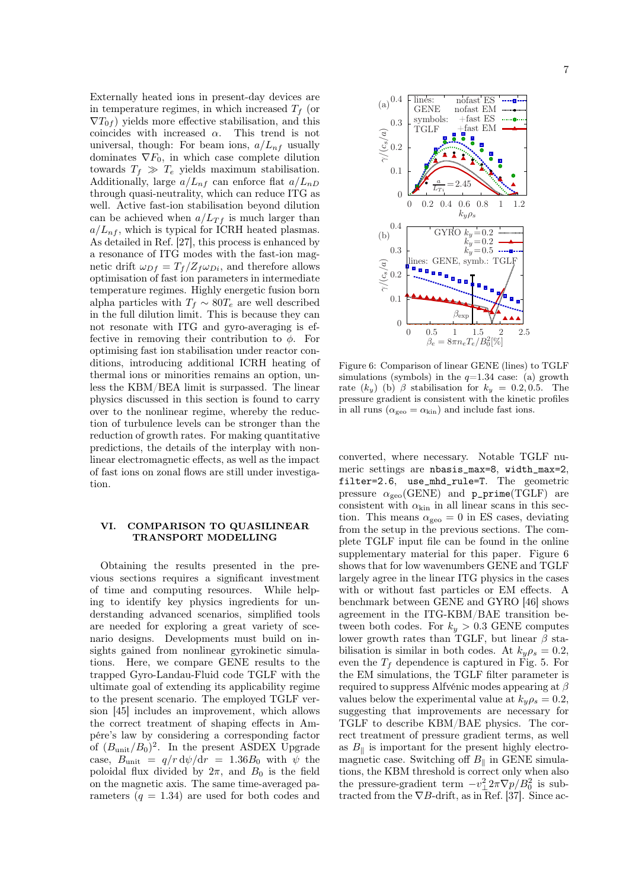Externally heated ions in present-day devices are in temperature regimes, in which increased  $T_f$  (or  $\nabla T_{0f}$  yields more effective stabilisation, and this coincides with increased  $\alpha$ . This trend is not universal, though: For beam ions,  $a/L_{nf}$  usually dominates  $\nabla F_0$ , in which case complete dilution towards  $T_f \gg T_e$  yields maximum stabilisation. Additionally, large  $a/L_{nf}$  can enforce flat  $a/L_{nD}$ through quasi-neutrality, which can reduce ITG as well. Active fast-ion stabilisation beyond dilution can be achieved when  $a/L_{Tf}$  is much larger than  $a/L_{n,f}$ , which is typical for ICRH heated plasmas. As detailed in Ref. [27], this process is enhanced by a resonance of ITG modes with the fast-ion magnetic drift  $\omega_{Df} = T_f/Z_f \omega_{Di}$ , and therefore allows optimisation of fast ion parameters in intermediate temperature regimes. Highly energetic fusion born alpha particles with  $T_f \sim 80T_e$  are well described in the full dilution limit. This is because they can not resonate with ITG and gyro-averaging is effective in removing their contribution to  $\phi$ . For optimising fast ion stabilisation under reactor conditions, introducing additional ICRH heating of thermal ions or minorities remains an option, unless the KBM/BEA limit is surpassed. The linear physics discussed in this section is found to carry over to the nonlinear regime, whereby the reduction of turbulence levels can be stronger than the reduction of growth rates. For making quantitative predictions, the details of the interplay with nonlinear electromagnetic effects, as well as the impact of fast ions on zonal flows are still under investigation.

## VI. COMPARISON TO QUASILINEAR TRANSPORT MODELLING

Obtaining the results presented in the previous sections requires a significant investment of time and computing resources. While helping to identify key physics ingredients for understanding advanced scenarios, simplified tools are needed for exploring a great variety of scenario designs. Developments must build on insights gained from nonlinear gyrokinetic simulations. Here, we compare GENE results to the trapped Gyro-Landau-Fluid code TGLF with the ultimate goal of extending its applicability regime to the present scenario. The employed TGLF version [45] includes an improvement, which allows the correct treatment of shaping effects in Ampére's law by considering a corresponding factor of  $(B_{\text{unit}}/B_0)^2$ . In the present ASDEX Upgrade case,  $B_{\text{unit}} = q/r \, \mathrm{d}\psi/\mathrm{d}r = 1.36B_0$  with  $\psi$  the poloidal flux divided by  $2\pi$ , and  $B_0$  is the field on the magnetic axis. The same time-averaged parameters  $(q = 1.34)$  are used for both codes and



Figure 6: Comparison of linear GENE (lines) to TGLF simulations (symbols) in the  $q=1.34$  case: (a) growth rate  $(k_y)$  (b)  $\beta$  stabilisation for  $k_y = 0.2, 0.5$ . The pressure gradient is consistent with the kinetic profiles in all runs ( $\alpha_{\text{geo}} = \alpha_{\text{kin}}$ ) and include fast ions.

converted, where necessary. Notable TGLF numeric settings are nbasis\_max=8, width\_max=2, filter=2.6, use\_mhd\_rule=T. The geometric pressure  $\alpha_{\rm{geo}}$ (GENE) and p\_prime(TGLF) are consistent with  $\alpha_{\text{kin}}$  in all linear scans in this section. This means  $\alpha_{\text{geo}} = 0$  in ES cases, deviating from the setup in the previous sections. The complete TGLF input file can be found in the online supplementary material for this paper. Figure 6 shows that for low wavenumbers GENE and TGLF largely agree in the linear ITG physics in the cases with or without fast particles or EM effects. A benchmark between GENE and GYRO [46] shows agreement in the ITG-KBM/BAE transition between both codes. For  $k_y > 0.3$  GENE computes lower growth rates than TGLF, but linear  $\beta$  stabilisation is similar in both codes. At  $k_y \rho_s = 0.2$ , even the  $T_f$  dependence is captured in Fig. 5. For the EM simulations, the TGLF filter parameter is required to suppress Alfvénic modes appearing at  $\beta$ values below the experimental value at  $k_y \rho_s = 0.2$ , suggesting that improvements are necessary for TGLF to describe KBM/BAE physics. The correct treatment of pressure gradient terms, as well as  $B_{\parallel}$  is important for the present highly electromagnetic case. Switching off  $B_{\parallel}$  in GENE simulations, the KBM threshold is correct only when also the pressure-gradient term  $-v_{\perp}^2 2\pi \nabla p/B_0^2$  is subtracted from the  $\nabla B$ -drift, as in Ref. [37]. Since ac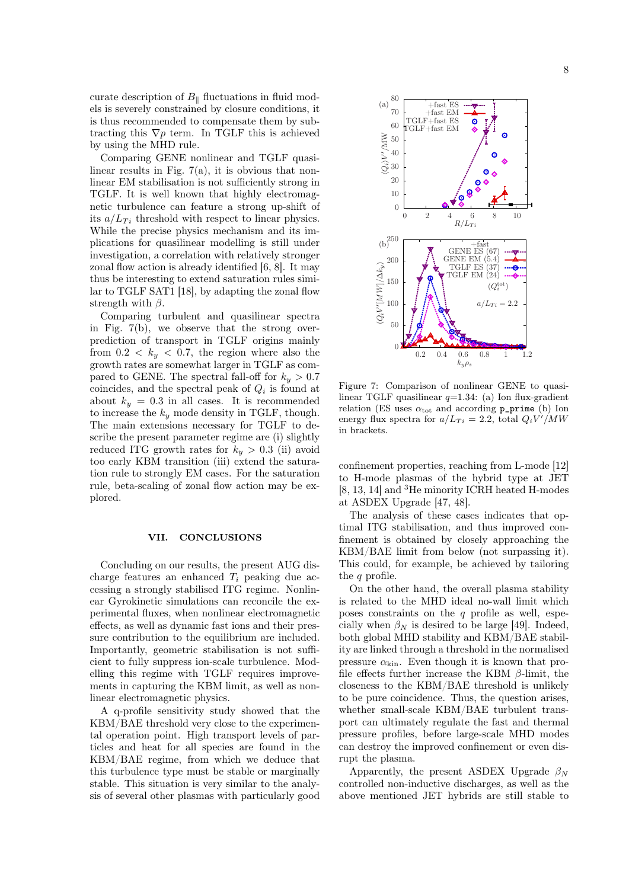curate description of  $B_{\parallel}$  fluctuations in fluid models is severely constrained by closure conditions, it is thus recommended to compensate them by subtracting this  $\nabla p$  term. In TGLF this is achieved by using the MHD rule.

Comparing GENE nonlinear and TGLF quasilinear results in Fig.  $7(a)$ , it is obvious that nonlinear EM stabilisation is not sufficiently strong in TGLF. It is well known that highly electromagnetic turbulence can feature a strong up-shift of its  $a/L_{Ti}$  threshold with respect to linear physics. While the precise physics mechanism and its implications for quasilinear modelling is still under investigation, a correlation with relatively stronger zonal flow action is already identified [6, 8]. It may thus be interesting to extend saturation rules similar to TGLF SAT1 [18], by adapting the zonal flow strength with  $\beta$ .

Comparing turbulent and quasilinear spectra in Fig. 7(b), we observe that the strong overprediction of transport in TGLF origins mainly from  $0.2 < k_y < 0.7$ , the region where also the growth rates are somewhat larger in TGLF as compared to GENE. The spectral fall-off for  $k_y > 0.7$ coincides, and the spectral peak of  $Q_i$  is found at about  $k_y = 0.3$  in all cases. It is recommended to increase the  $k_y$  mode density in TGLF, though. The main extensions necessary for TGLF to describe the present parameter regime are (i) slightly reduced ITG growth rates for  $k_y > 0.3$  (ii) avoid too early KBM transition (iii) extend the saturation rule to strongly EM cases. For the saturation rule, beta-scaling of zonal flow action may be explored.

## VII. CONCLUSIONS

Concluding on our results, the present AUG discharge features an enhanced  $T_i$  peaking due accessing a strongly stabilised ITG regime. Nonlinear Gyrokinetic simulations can reconcile the experimental fluxes, when nonlinear electromagnetic effects, as well as dynamic fast ions and their pressure contribution to the equilibrium are included. Importantly, geometric stabilisation is not sufficient to fully suppress ion-scale turbulence. Modelling this regime with TGLF requires improvements in capturing the KBM limit, as well as nonlinear electromagnetic physics.

A q-profile sensitivity study showed that the KBM/BAE threshold very close to the experimental operation point. High transport levels of particles and heat for all species are found in the KBM/BAE regime, from which we deduce that this turbulence type must be stable or marginally stable. This situation is very similar to the analysis of several other plasmas with particularly good



Figure 7: Comparison of nonlinear GENE to quasilinear TGLF quasilinear  $q=1.34$ : (a) Ion flux-gradient relation (ES uses  $\alpha_{\text{tot}}$  and according p\_prime (b) Ion energy flux spectra for  $a/L_{Ti} = 2.2$ , total  $Q_i V^i/MW$ in brackets.

confinement properties, reaching from L-mode [12] to H-mode plasmas of the hybrid type at JET [8, 13, 14] and <sup>3</sup>He minority ICRH heated H-modes at ASDEX Upgrade [47, 48].

The analysis of these cases indicates that optimal ITG stabilisation, and thus improved confinement is obtained by closely approaching the KBM/BAE limit from below (not surpassing it). This could, for example, be achieved by tailoring the q profile.

On the other hand, the overall plasma stability is related to the MHD ideal no-wall limit which poses constraints on the  $q$  profile as well, especially when  $\beta_N$  is desired to be large [49]. Indeed, both global MHD stability and KBM/BAE stability are linked through a threshold in the normalised pressure  $\alpha_{\rm kin}$ . Even though it is known that profile effects further increase the KBM  $\beta$ -limit, the closeness to the KBM/BAE threshold is unlikely to be pure coincidence. Thus, the question arises, whether small-scale KBM/BAE turbulent transport can ultimately regulate the fast and thermal pressure profiles, before large-scale MHD modes can destroy the improved confinement or even disrupt the plasma.

Apparently, the present ASDEX Upgrade  $\beta_N$ controlled non-inductive discharges, as well as the above mentioned JET hybrids are still stable to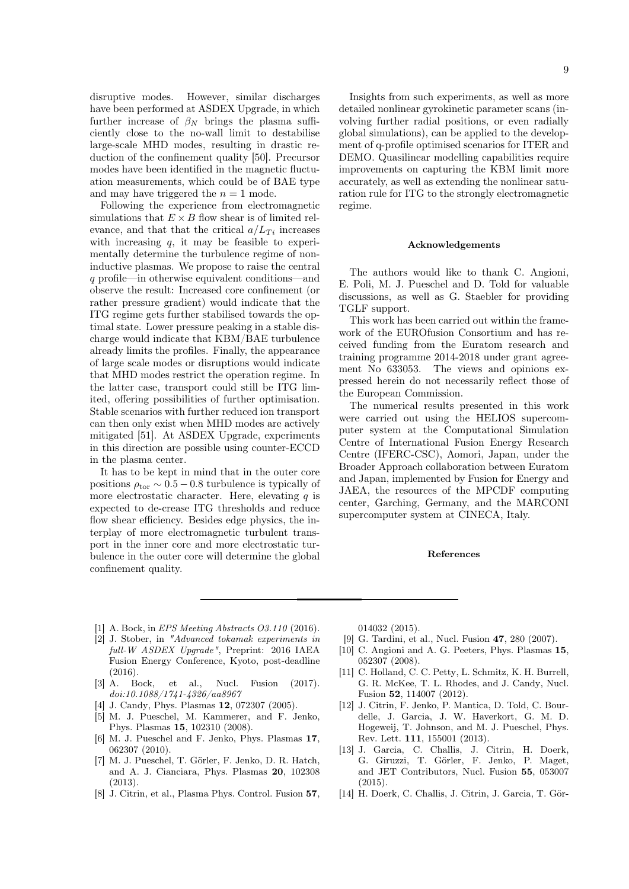disruptive modes. However, similar discharges have been performed at ASDEX Upgrade, in which further increase of  $\beta_N$  brings the plasma sufficiently close to the no-wall limit to destabilise large-scale MHD modes, resulting in drastic reduction of the confinement quality [50]. Precursor modes have been identified in the magnetic fluctuation measurements, which could be of BAE type and may have triggered the  $n = 1$  mode.

Following the experience from electromagnetic simulations that  $E \times B$  flow shear is of limited relevance, and that that the critical  $a/L_{Ti}$  increases with increasing  $q$ , it may be feasible to experimentally determine the turbulence regime of noninductive plasmas. We propose to raise the central q profile—in otherwise equivalent conditions—and observe the result: Increased core confinement (or rather pressure gradient) would indicate that the ITG regime gets further stabilised towards the optimal state. Lower pressure peaking in a stable discharge would indicate that KBM/BAE turbulence already limits the profiles. Finally, the appearance of large scale modes or disruptions would indicate that MHD modes restrict the operation regime. In the latter case, transport could still be ITG limited, offering possibilities of further optimisation. Stable scenarios with further reduced ion transport can then only exist when MHD modes are actively mitigated [51]. At ASDEX Upgrade, experiments in this direction are possible using counter-ECCD in the plasma center.

It has to be kept in mind that in the outer core positions  $\rho_{\text{tor}} \sim 0.5 - 0.8$  turbulence is typically of more electrostatic character. Here, elevating  $q$  is expected to de-crease ITG thresholds and reduce flow shear efficiency. Besides edge physics, the interplay of more electromagnetic turbulent transport in the inner core and more electrostatic turbulence in the outer core will determine the global confinement quality.

Insights from such experiments, as well as more detailed nonlinear gyrokinetic parameter scans (involving further radial positions, or even radially global simulations), can be applied to the development of q-profile optimised scenarios for ITER and DEMO. Quasilinear modelling capabilities require improvements on capturing the KBM limit more accurately, as well as extending the nonlinear saturation rule for ITG to the strongly electromagnetic regime.

#### Acknowledgements

The authors would like to thank C. Angioni, E. Poli, M. J. Pueschel and D. Told for valuable discussions, as well as G. Staebler for providing TGLF support.

This work has been carried out within the framework of the EUROfusion Consortium and has received funding from the Euratom research and training programme 2014-2018 under grant agreement No 633053. The views and opinions expressed herein do not necessarily reflect those of the European Commission.

The numerical results presented in this work were carried out using the HELIOS supercomputer system at the Computational Simulation Centre of International Fusion Energy Research Centre (IFERC-CSC), Aomori, Japan, under the Broader Approach collaboration between Euratom and Japan, implemented by Fusion for Energy and JAEA, the resources of the MPCDF computing center, Garching, Germany, and the MARCONI supercomputer system at CINECA, Italy.

#### References

- [1] A. Bock, in *EPS Meeting Abstracts O3.110* (2016).
- [2] J. Stober, in "Advanced tokamak experiments in full-W ASDEX Upgrade", Preprint: 2016 IAEA Fusion Energy Conference, Kyoto, post-deadline (2016).
- [3] A. Bock, et al., Nucl. Fusion (2017). doi:10.1088/1741-4326/aa8967
- [4] J. Candy, Phys. Plasmas **12**, 072307 (2005).
- [5] M. J. Pueschel, M. Kammerer, and F. Jenko, Phys. Plasmas 15, 102310 (2008).
- [6] M. J. Pueschel and F. Jenko, Phys. Plasmas 17, 062307 (2010).
- [7] M. J. Pueschel, T. Görler, F. Jenko, D. R. Hatch, and A. J. Cianciara, Phys. Plasmas 20, 102308 (2013).
- [8] J. Citrin, et al., Plasma Phys. Control. Fusion 57,

014032 (2015).

- [9] G. Tardini, et al., Nucl. Fusion 47, 280 (2007).
- [10] C. Angioni and A. G. Peeters, Phys. Plasmas 15, 052307 (2008).
- [11] C. Holland, C. C. Petty, L. Schmitz, K. H. Burrell, G. R. McKee, T. L. Rhodes, and J. Candy, Nucl. Fusion 52, 114007 (2012).
- [12] J. Citrin, F. Jenko, P. Mantica, D. Told, C. Bourdelle, J. Garcia, J. W. Haverkort, G. M. D. Hogeweij, T. Johnson, and M. J. Pueschel, Phys. Rev. Lett. 111, 155001 (2013).
- [13] J. Garcia, C. Challis, J. Citrin, H. Doerk, G. Giruzzi, T. Görler, F. Jenko, P. Maget, and JET Contributors, Nucl. Fusion 55, 053007  $(2015)$
- [14] H. Doerk, C. Challis, J. Citrin, J. Garcia, T. Gör-